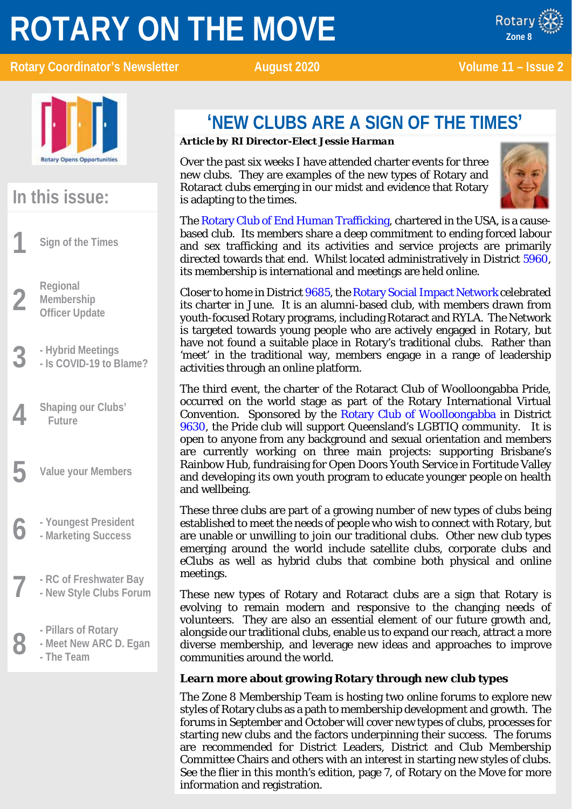# **ROTARY ON THE MOVE**

x ROTARY **Rotary Coordinator's Newsletter August 2020** Volume 11 – Issue 2



Rotary



# **In this issue:**

**1 Sign of the Times**

**2 Regional**<br>**2 Members**<br>**Officer Up Membership Officer Update**

- 
- **3 - Hybrid Meetings - Is COVID-19 to Blame?**
- **4 Shaping our Clubs' Future**
- **5 Value your Members**
- **6 - Youngest President - Marketing Success**
- **7 - RC of Freshwater Bay - New Style Clubs Forum**
	-
- **8 -** Pillars of Rotary<br>**8 -** Meet New ARC I<br>The Team **- Meet New ARC D. Egan**
	- **- The Team**

# **'NEW CLUBS ARE A SIGN OF THE TIMES'**

#### *Article by RI Director-Elect Jessie Harman*

Over the past six weeks I have attended charter events for three new clubs. They are examples of the new types of Rotary and Rotaract clubs emerging in our midst and evidence that Rotary is adapting to the times.



The [Rotary Club of End Human Trafficking,](https://rotaryendht.org/) chartered in the USA, is a causebased club. Its members share a deep commitment to ending forced labour and sex trafficking and its activities and service projects are primarily directed towards that end. Whilst located administratively in District [5960,](https://www.rotary5960.org/) its membership is international and meetings are held online.

Closer to home in Distric[t 9685,](https://www.rotarydistrict9685.org.au/) th[e Rotary Social Impact Network](https://www.facebook.com/rotarysocialimpactnetwork/) celebrated its charter in June. It is an alumni-based club, with members drawn from youth-focused Rotary programs, including Rotaract and RYLA. The Network is targeted towards young people who are actively engaged in Rotary, but have not found a suitable place in Rotary's traditional clubs. Rather than 'meet' in the traditional way, members engage in a range of leadership activities through an online platform.

The third event, the charter of the Rotaract Club of Woolloongabba Pride, occurred on the world stage as part of the Rotary International Virtual Convention. Sponsored by the [Rotary Club of Woolloongabba](https://gabbarotary.org.au/) in District [9630,](http://www.rotary9630.org/) the Pride club will support Queensland's LGBTIQ community. It is open to anyone from any background and sexual orientation and members are currently working on three main projects: supporting Brisbane's Rainbow Hub, fundraising for Open Doors Youth Service in Fortitude Valley and developing its own youth program to educate younger people on health and wellbeing.

These three clubs are part of a growing number of new types of clubs being established to meet the needs of people who wish to connect with Rotary, but are unable or unwilling to join our traditional clubs. Other new club types emerging around the world include satellite clubs, corporate clubs and eClubs as well as hybrid clubs that combine both physical and online meetings.

These new types of Rotary and Rotaract clubs are a sign that Rotary is evolving to remain modern and responsive to the changing needs of volunteers. They are also an essential element of our future growth and, alongside our traditional clubs, enable us to expand our reach, attract a more diverse membership, and leverage new ideas and approaches to improve communities around the world.

#### **Learn more about growing Rotary through new club types**

The Zone 8 Membership Team is hosting two online forums to explore new styles of Rotary clubs as a path to membership development and growth. The forums in September and October will cover new types of clubs, processes for starting new clubs and the factors underpinning their success. The forums are recommended for District Leaders, District and Club Membership Committee Chairs and others with an interest in starting new styles of clubs. See the flier in this month's edition, page 7, of Rotary on the Move for more information and registration.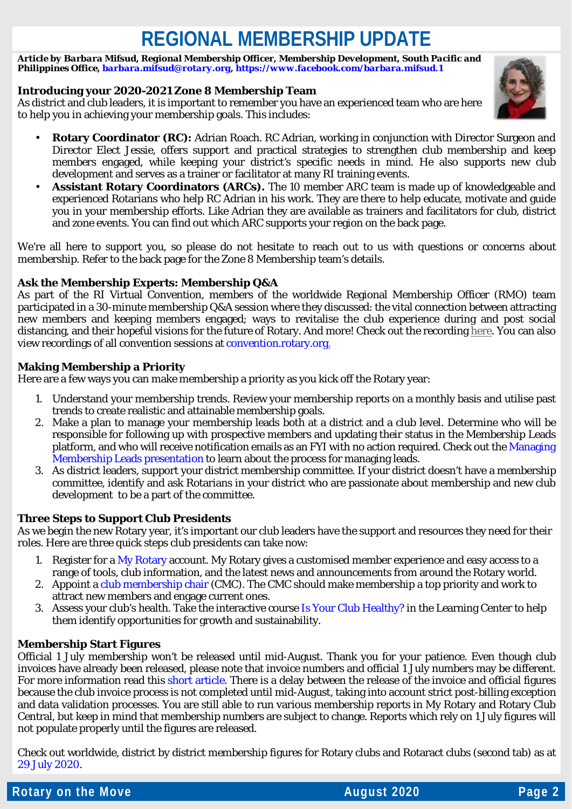# **REGIONAL MEMBERSHIP UPDATE**

*Article by Barbara Mifsud, Regional Membership Officer, Membership Development, South Pacific and Philippines Office[, barbara.mifsud@rotary.org,](mailto:barbara.mifsud@rotary.org)<https://www.facebook.com/barbara.mifsud.1>*

#### **Introducing your 2020-2021 Zone 8 Membership Team**

As district and club leaders, it is important to remember you have an experienced team who are here to help you in achieving your membership goals. This includes:



- **Rotary Coordinator (RC):** Adrian Roach. RC Adrian, working in conjunction with Director Surgeon and Director Elect Jessie, offers support and practical strategies to strengthen club membership and keep members engaged, while keeping your district's specific needs in mind. He also supports new club development and serves as a trainer or facilitator at many RI training events.
- **Assistant Rotary Coordinators (ARCs).** The 10 member ARC team is made up of knowledgeable and experienced Rotarians who help RC Adrian in his work. They are there to help educate, motivate and guide you in your membership efforts. Like Adrian they are available as trainers and facilitators for club, district and zone events. You can find out which ARC supports your region on the back page.

We're all here to support you, so please do not hesitate to reach out to us with questions or concerns about membership. Refer to the back page for the Zone 8 Membership team's details.

#### **Ask the Membership Experts: Membership Q&A**

As part of the RI Virtual Convention, members of the worldwide Regional Membership Officer (RMO) team participated in a 30-minute membership Q&A session where they discussed: the vital connection between attracting new members and keeping members engaged; ways to revitalise the club experience during and post social distancing, and their hopeful visions for the future of Rotary. And more! Check out the recording [here.](https://vimeo.com/channels/rotarymembership/432696867?fbclid=IwAR2QCIaoVo_r4jdWe8hyW-fUj3Uw-u5YbW5zxgrPiF2sc3XMwdqWb8UbJzo) You can also view recordings of all convention sessions a[t convention.rotary.org.](https://convention.rotary.org/en/honolulu)

#### **Making Membership a Priority**

Here are a few ways you can make membership a priority as you kick off the Rotary year:

- 1. Understand your membership trends. Review your membership reports on a monthly basis and utilise past trends to create realistic and attainable membership goals.
- 2. Make a plan to manage your membership leads both at a district and a club level. Determine who will be responsible for following up with prospective members and updating their status in the Membership Leads platform, and who will receive notification emails as an FYI with no action required. Check out th[e Managing](https://my.rotary.org/en/document/managing-membership-leads-presentation)  [Membership Leads presentation](https://my.rotary.org/en/document/managing-membership-leads-presentation) to learn about the process for managing leads.
- 3. As district leaders, support your district membership committee. If your district doesn't have a membership committee, identify and ask Rotarians in your district who are passionate about membership and new club development to be a part of the committee.

#### **Three Steps to Support Club Presidents**

As we begin the new Rotary year, it's important our club leaders have the support and resources they need for their roles. Here are three quick steps club presidents can take now:

- 1. Register for a [My Rotary](https://nam02.safelinks.protection.outlook.com/?url=https%3A%2F%2Fmy.rotary.org%2Fen&data=02%7C01%7CBarbara.Mifsud%40rotary.org%7Cb0abe832f511482c3c9c08d8341c372c%7C67b4e0430afd4afb8b94bf96370c8e7f%7C1%7C0%7C637316644950452234&sdata=49kdZ7UMMRRjnfHwu1hiQFkI5l8wODv5Dl9oLtHARZc%3D&reserved=0) account. My Rotary gives a customised member experience and easy access to a range of tools, club information, and the latest news and announcements from around the Rotary world.
- 2. Appoint [a club membership chair](https://nam02.safelinks.protection.outlook.com/?url=http%3A%2F%2Frotary.msgfocus.com%2Fc%2F12pTXHoR8a2DLvzdluPheRTrN&data=02%7C01%7CBarbara.Mifsud%40rotary.org%7Cb0abe832f511482c3c9c08d8341c372c%7C67b4e0430afd4afb8b94bf96370c8e7f%7C1%7C0%7C637316644950452234&sdata=3ZEFX6TGqx3sPi1RbfJBluI9zyMXTzcbzqzITsSqjHQ%3D&reserved=0) (CMC). The CMC should make membership a top priority and work to attract new members and engage current ones.
- 3. Assess your club's health. Take the interactive course [Is Your Club Healthy?](https://nam02.safelinks.protection.outlook.com/?url=http%3A%2F%2Frotary.msgfocus.com%2Fc%2F12pTXLukGVVP2nRoOyZVz5c0J&data=02%7C01%7CRachel.gomez%40rotary.org%7C538e92e2cc01410ca01e08d7f69b08c3%7C67b4e0430afd4afb8b94bf96370c8e7f%7C1%7C0%7C637249018041009721&sdata=MBVQGab72tUp0KXoT6i%2FGlZUs7hgANdGaCJNktbyatA%3D&reserved=0) in the Learning Center to help them identify opportunities for growth and sustainability.

#### **Membership Start Figures**

Official 1 July membership won't be released until mid-August. Thank you for your patience. Even though club invoices have already been released, please note that invoice numbers and official 1 July numbers may be different. For more information read this [short article.](https://www.dropbox.com/s/nr490u2kn2e3qjo/Howe%20we%20calcute%20membership%20numbers.docx?dl=0) There is a delay between the release of the invoice and official figures because the club invoice process is not completed until mid-August, taking into account strict post-billing exception and data validation processes. You are still able to run various membership reports in My Rotary and Rotary Club Central, but keep in mind that membership numbers are subject to change. Reports which rely on 1 July figures will not populate properly until the figures are released.

Check out worldwide, district by district membership figures for Rotary clubs and Rotaract clubs (second tab) as at 29 [July 2020.](https://www.dropbox.com/s/a074zolabijon3v/20200729%20-%20Worldwide%20-%20MemberCountByZone%20%281%29.xlsx?dl=0)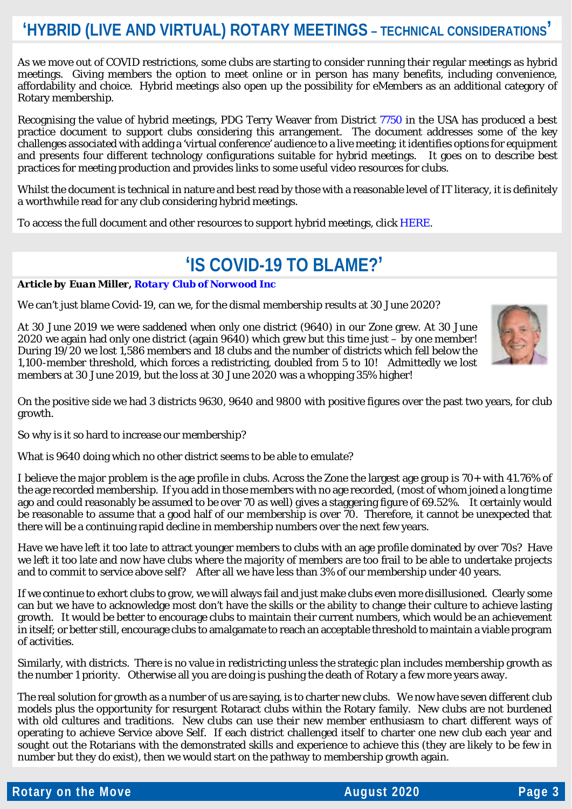### **'HYBRID (LIVE AND VIRTUAL) ROTARY MEETINGS – TECHNICAL CONSIDERATIONS'**

As we move out of COVID restrictions, some clubs are starting to consider running their regular meetings as hybrid meetings. Giving members the option to meet online or in person has many benefits, including convenience, affordability and choice. Hybrid meetings also open up the possibility for eMembers as an additional category of Rotary membership.

Recognising the value of hybrid meetings, PDG Terry Weaver from District [7750](https://rotary7750.org/) in the USA has produced a best practice document to support clubs considering this arrangement. The document addresses some of the key challenges associated with adding a 'virtual conference' audience to a live meeting; it identifies options for equipment and presents four different technology configurations suitable for hybrid meetings. It goes on to describe best practices for meeting production and provides links to some useful video resources for clubs.

Whilst the document is technical in nature and best read by those with a reasonable level of IT literacy, it is definitely a worthwhile read for any club considering hybrid meetings.

To access the full document and other resources to support hybrid meetings, click [HERE.](https://www.rizones33-34.org/wp-content/uploads/2020/07/Hybrid_Rotary_Meetings_Technology_Guide.pdf)

### **'IS COVID-19 TO BLAME?'**

*Article by Euan Miller[, Rotary Club of Norwood Inc](http://rotarynorwood.org.au/)*

We can't just blame Covid-19, can we, for the dismal membership results at 30 June 2020?

At 30 June 2019 we were saddened when only one district (9640) in our Zone grew. At 30 June 2020 we again had only one district (again 9640) which grew but this time just – by one member! During 19/20 we lost 1,586 members and 18 clubs and the number of districts which fell below the 1,100-member threshold, which forces a redistricting, doubled from 5 to 10! Admittedly we lost members at 30 June 2019, but the loss at 30 June 2020 was a whopping 35% higher!

On the positive side we had 3 districts 9630, 9640 and 9800 with positive figures over the past two years, for club growth.

So why is it so hard to increase our membership?

What is 9640 doing which no other district seems to be able to emulate?

I believe the major problem is the age profile in clubs. Across the Zone the largest age group is 70+ with 41.76% of the age recorded membership. If you add in those members with no age recorded, (most of whom joined a long time ago and could reasonably be assumed to be over 70 as well) gives a staggering figure of 69.52%. It certainly would be reasonable to assume that a good half of our membership is over 70. Therefore, it cannot be unexpected that there will be a continuing rapid decline in membership numbers over the next few years.

Have we have left it too late to attract younger members to clubs with an age profile dominated by over 70s? Have we left it too late and now have clubs where the majority of members are too frail to be able to undertake projects and to commit to service above self? After all we have less than 3% of our membership under 40 years.

If we continue to exhort clubs to grow, we will always fail and just make clubs even more disillusioned. Clearly some can but we have to acknowledge most don't have the skills or the ability to change their culture to achieve lasting growth. It would be better to encourage clubs to maintain their current numbers, which would be an achievement in itself; or better still, encourage clubs to amalgamate to reach an acceptable threshold to maintain a viable program of activities.

Similarly, with districts. There is no value in redistricting unless the strategic plan includes membership growth as the number 1 priority. Otherwise all you are doing is pushing the death of Rotary a few more years away.

The real solution for growth as a number of us are saying, is to charter new clubs. We now have seven different club models plus the opportunity for resurgent Rotaract clubs within the Rotary family. New clubs are not burdened with old cultures and traditions. New clubs can use their new member enthusiasm to chart different ways of operating to achieve Service above Self. If each district challenged itself to charter one new club each year and sought out the Rotarians with the demonstrated skills and experience to achieve this (they are likely to be few in number but they do exist), then we would start on the pathway to membership growth again.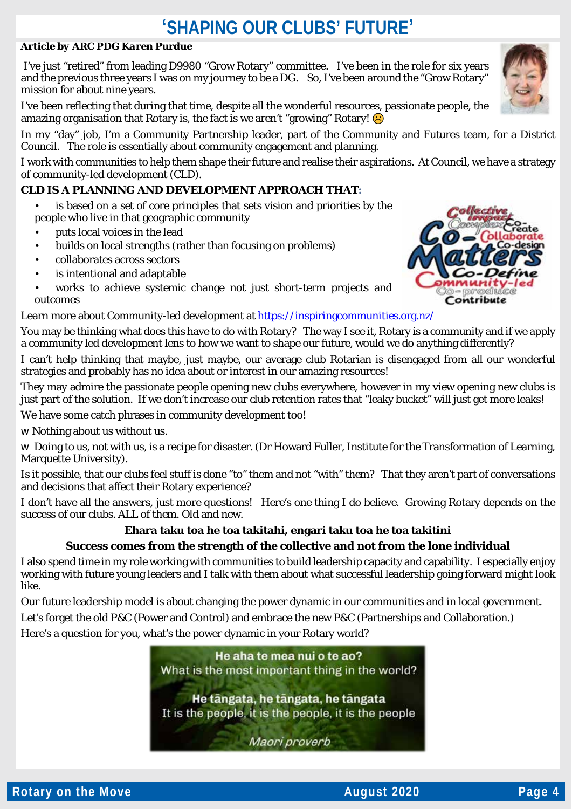## **'SHAPING OUR CLUBS' FUTURE'**

#### *Article by ARC PDG Karen Purdue*

I've just "retired" from leading D9980 "Grow Rotary" committee. I've been in the role for six years and the previous three years I was on my journey to be a DG. So, I've been around the "Grow Rotary" mission for about nine years.

I've been reflecting that during that time, despite all the wonderful resources, passionate people, the amazing organisation that Rotary is, the fact is we aren't "growing" Rotary!  $\bigcirc$ 

In my "day" job, I'm a Community Partnership leader, part of the Community and Futures team, for a District Council. The role is essentially about community engagement and planning.

I work with communities to help them shape their future and realise their aspirations. At Council, we have a strategy of community-led development (CLD).

#### **CLD IS A PLANNING AND DEVELOPMENT APPROACH THAT:**

- is based on a set of core principles that sets vision and priorities by the people who live in that geographic community
- puts local voices in the lead
- builds on local strengths (rather than focusing on problems)
- collaborates across sectors
- is intentional and adaptable
- works to achieve systemic change not just short-term projects and outcomes

Contribute

Learn more about Community-led development at <https://inspiringcommunities.org.nz/>

You may be thinking what does this have to do with Rotary? The way I see it, Rotary is a community and if we apply a community led development lens to how we want to shape our future, would we do anything differently?

I can't help thinking that maybe, just maybe, our average club Rotarian is disengaged from all our wonderful strategies and probably has no idea about or interest in our amazing resources!

They may admire the passionate people opening new clubs everywhere, however in my view opening new clubs is just part of the solution. If we don't increase our club retention rates that "leaky bucket" will just get more leaks!

We have some catch phrases in community development too!

w Nothing about us without us.

w Doing to us, not with us, is a recipe for disaster. (Dr Howard Fuller, Institute for the Transformation of Learning, Marquette University).

Is it possible, that our clubs feel stuff is done "to" them and not "with" them? That they aren't part of conversations and decisions that affect their Rotary experience?

I don't have all the answers, just more questions! Here's one thing I do believe. Growing Rotary depends on the success of our clubs. ALL of them. Old and new.

#### **Ehara taku toa he toa takitahi, engari taku toa he toa takitini**

#### **Success comes from the strength of the collective and not from the lone individual**

I also spend time in my role working with communities to build leadership capacity and capability. I especially enjoy working with future young leaders and I talk with them about what successful leadership going forward might look like.

Our future leadership model is about changing the power dynamic in our communities and in local government. Let's forget the old P&C (Power and Control) and embrace the new P&C (Partnerships and Collaboration.)

Here's a question for you, what's the power dynamic in your Rotary world?







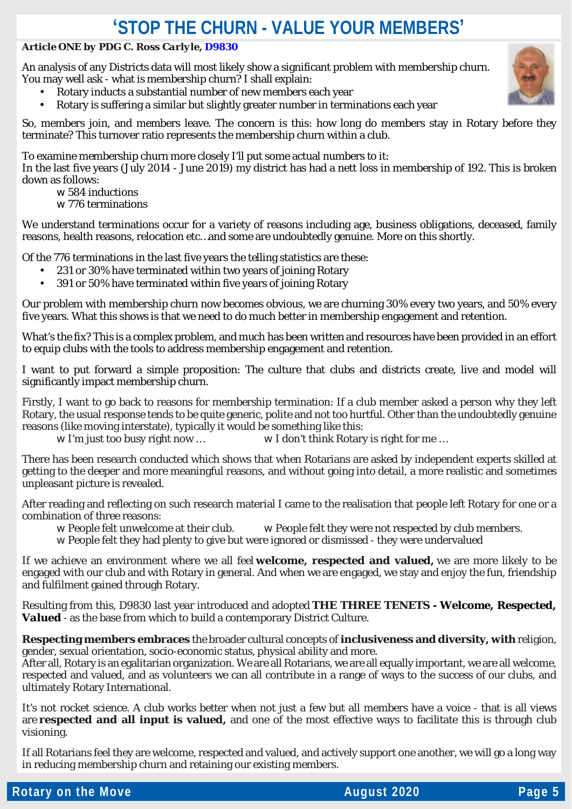### **'STOP THE CHURN - VALUE YOUR MEMBERS'**

#### *Article ONE by PDG C. Ross Carlyle, [D9830](https://rotary9830.org.au/)*

An analysis of any Districts data will most likely show a significant problem with membership churn. You may well ask - what is membership churn? I shall explain:

- Rotary inducts a substantial number of new members each year
- Rotary is suffering a similar but slightly greater number in terminations each year

So, members join, and members leave. The concern is this: how long do members stay in Rotary before they terminate? This turnover ratio represents the membership churn within a club.

To examine membership churn more closely I'll put some actual numbers to it:

In the last five years (July 2014 - June 2019) my district has had a nett loss in membership of 192. This is broken down as follows:

- w 584 inductions
- w 776 terminations

We understand terminations occur for a variety of reasons including age, business obligations, deceased, family reasons, health reasons, relocation etc…and some are undoubtedly genuine. More on this shortly.

Of the 776 terminations in the last five years the telling statistics are these:

- 231 or 30% have terminated within two years of joining Rotary
- 391 or 50% have terminated within five years of joining Rotary

Our problem with membership churn now becomes obvious, we are churning 30% every two years, and 50% every five years. What this shows is that we need to do much better in membership engagement and retention.

What's the fix? This is a complex problem, and much has been written and resources have been provided in an effort to equip clubs with the tools to address membership engagement and retention.

I want to put forward a simple proposition: The culture that clubs and districts create, live and model will significantly impact membership churn.

Firstly, I want to go back to reasons for membership termination: If a club member asked a person why they left Rotary, the usual response tends to be quite generic, polite and not too hurtful. Other than the undoubtedly genuine reasons (like moving interstate), typically it would be something like this:

w I'm just too busy right now … w I don't think Rotary is right for me …

There has been research conducted which shows that when Rotarians are asked by independent experts skilled at getting to the deeper and more meaningful reasons, and without going into detail, a more realistic and sometimes unpleasant picture is revealed.

After reading and reflecting on such research material I came to the realisation that people left Rotary for one or a combination of three reasons:<br>**W** People felt unwelcome at their club.

- **W** People felt they were not respected by club members.
- w People felt they had plenty to give but were ignored or dismissed they were undervalued

If we achieve an environment where we all feel **welcome, respected and valued,** we are more likely to be engaged with our club and with Rotary in general. And when we are engaged, we stay and enjoy the fun, friendship and fulfilment gained through Rotary.

Resulting from this, D9830 last year introduced and adopted **THE THREE TENETS** *- Welcome, Respected, Valued* - as the base from which to build a contemporary District Culture.

**Respecting members embraces** the broader cultural concepts of **inclusiveness and diversity, with** religion, gender, sexual orientation, socio-economic status, physical ability and more.

After all, Rotary is an egalitarian organization. We are all Rotarians, we are all equally important, we are all welcome, respected and valued, and as volunteers we can all contribute in a range of ways to the success of our clubs, and ultimately Rotary International.

It's not rocket science. A club works better when not just a few but all members have a voice - that is all views are **respected and all input is valued,** and one of the most effective ways to facilitate this is through club visioning.

If all Rotarians feel they are welcome, respected and valued, and actively support one another, we will go a long way in reducing membership churn and retaining our existing members.

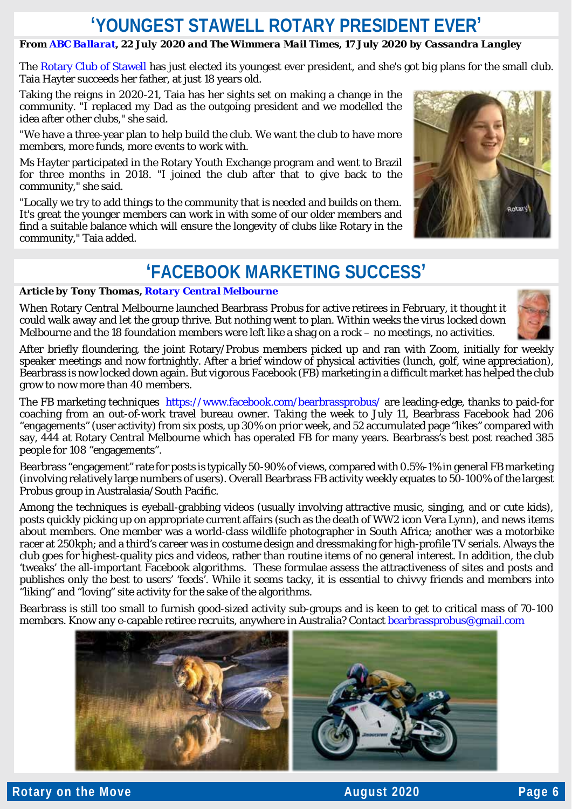### **'YOUNGEST STAWELL ROTARY PRESIDENT EVER'**

#### *From [ABC Ballarat,](https://www.facebook.com/abcballaratandsouthwestvic/videos/775143689957258/) 22 July 2020 and The Wimmera Mail Times, 17 July 2020 by Cassandra Langley*

The [Rotary Club of Stawell](https://www.facebook.com/stawellrotary/?__cft__%5b0%5d=AZUl3pt5gxFs8-Jf2mi1euetDNZ7JPdJgSE5On8R_JfwER3gYRuRBp0QT38sDAkJvZ6tcu9pnhogmZkdEUQySN3dTmrfSl1qf9uhKwp7jzqK3bznzCGdnVyfxPdpqCNv1_vDwT_CT9nCTK852A76eo3cSluwt8823Lpb2bYH3prpFrA-4Z8M9vZ7Vw-VjNCTPFI&__tn__=kK-R) has just elected its youngest ever president, and she's got big plans for the small club. Taia Hayter succeeds her father, at just 18 years old.

Taking the reigns in 2020-21, Taia has her sights set on making a change in the community. "I replaced my Dad as the outgoing president and we modelled the idea after other clubs," she said.

"We have a three-year plan to help build the club. We want the club to have more members, more funds, more events to work with.

Ms Hayter participated in the Rotary Youth Exchange program and went to Brazil for three months in 2018. "I joined the club after that to give back to the community," she said.

"Locally we try to add things to the community that is needed and builds on them. It's great the younger members can work in with some of our older members and find a suitable balance which will ensure the longevity of clubs like Rotary in the community," Taia added.

### **'FACEBOOK MARKETING SUCCESS'**

#### *Article by Tony Thomas, [Rotary Central Melbourne](https://www.rotaryclubcentralmelbourne.org.au/)*

When Rotary Central Melbourne launched Bearbrass Probus for active retirees in February, it thought it could walk away and let the group thrive. But nothing went to plan. Within weeks the virus locked down Melbourne and the 18 foundation members were left like a shag on a rock – no meetings, no activities.



**DATAL** 

After briefly floundering, the joint Rotary/Probus members picked up and ran with Zoom, initially for weekly speaker meetings and now fortnightly. After a brief window of physical activities (lunch, golf, wine appreciation), Bearbrass is now locked down again. But vigorous Facebook (FB) marketing in a difficult market has helped the club grow to now more than 40 members.

The FB marketing techniques <https://www.facebook.com/bearbrassprobus/> are leading-edge, thanks to paid-for coaching from an out-of-work travel bureau owner. Taking the week to July 11, Bearbrass Facebook had 206 "engagements" (user activity) from six posts, up 30% on prior week, and 52 accumulated page "likes" compared with say, 444 at Rotary Central Melbourne which has operated FB for many years. Bearbrass's best post reached 385 people for 108 "engagements".

Bearbrass "engagement" rate for posts is typically 50-90% of views, compared with 0.5%-1% in general FB marketing (involving relatively large numbers of users). Overall Bearbrass FB activity weekly equates to 50-100% of the largest Probus group in Australasia/South Pacific.

Among the techniques is eyeball-grabbing videos (usually involving attractive music, singing, and or cute kids), posts quickly picking up on appropriate current affairs (such as the death of WW2 icon Vera Lynn), and news items about members. One member was a world-class wildlife photographer in South Africa; another was a motorbike racer at 250kph; and a third's career was in costume design and dressmaking for high-profile TV serials. Always the club goes for highest-quality pics and videos, rather than routine items of no general interest. In addition, the club 'tweaks' the all-important Facebook algorithms. These formulae assess the attractiveness of sites and posts and publishes only the best to users' 'feeds'. While it seems tacky, it is essential to chivvy friends and members into "liking" and "loving" site activity for the sake of the algorithms.

Bearbrass is still too small to furnish good-sized activity sub-groups and is keen to get to critical mass of 70-100 members. Know any e-capable retiree recruits, anywhere in Australia? Contac[t bearbrassprobus@gmail.com](mailto:bearbrassprobus@gmail.com)

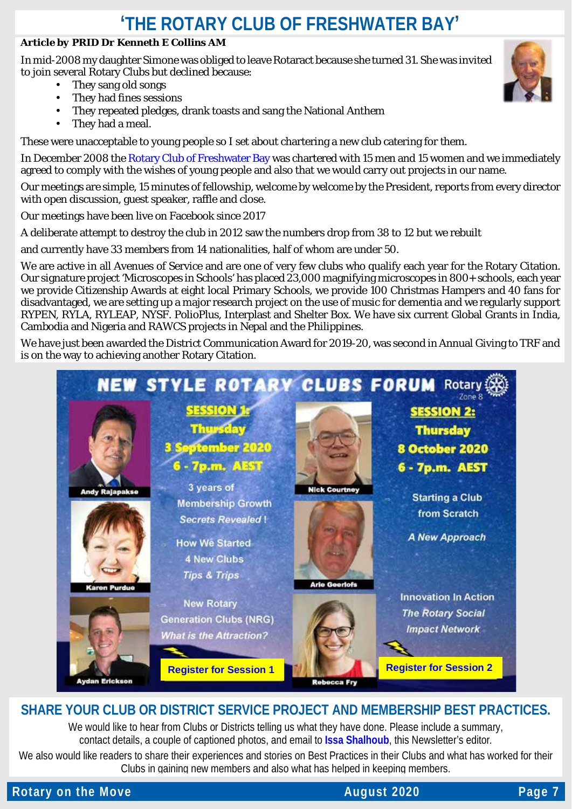# **'THE ROTARY CLUB OF FRESHWATER BAY'**

#### *Article by PRID Dr Kenneth E Collins AM*

In mid-2008 my daughter Simone was obliged to leave Rotaract because she turned 31. She was invited to join several Rotary Clubs but declined because:

- They sang old songs
- They had fines sessions
- They repeated pledges, drank toasts and sang the National Anthem
- They had a meal.

These were unacceptable to young people so I set about chartering a new club catering for them.

In December 2008 the [Rotary Club of Freshwater Bay](https://rotaryfreshwaterbay.org.au/) was chartered with 15 men and 15 women and we immediately agreed to comply with the wishes of young people and also that we would carry out projects in our name.

Our meetings are simple, 15 minutes of fellowship, welcome by welcome by the President, reports from every director with open discussion, guest speaker, raffle and close.

Our meetings have been live on Facebook since 2017

A deliberate attempt to destroy the club in 2012 saw the numbers drop from 38 to 12 but we rebuilt

and currently have 33 members from 14 nationalities, half of whom are under 50.

We are active in all Avenues of Service and are one of very few clubs who qualify each year for the Rotary Citation. Our signature project 'Microscopes in Schools' has placed 23,000 magnifying microscopes in 800+ schools, each year we provide Citizenship Awards at eight local Primary Schools, we provide 100 Christmas Hampers and 40 fans for disadvantaged, we are setting up a major research project on the use of music for dementia and we regularly support RYPEN, RYLA, RYLEAP, NYSF. PolioPlus, Interplast and Shelter Box. We have six current Global Grants in India, Cambodia and Nigeria and RAWCS projects in Nepal and the Philippines.

We have just been awarded the District Communication Award for 2019-20, was second in Annual Giving to TRF and is on the way to achieving another Rotary Citation.



### **SHARE YOUR CLUB OR DISTRICT SERVICE PROJECT AND MEMBERSHIP BEST PRACTICES.**

We would like to hear from Clubs or Districts telling us what they have done. Please include a summary, contact details, a couple of captioned photos, and email to **[Issa Shalhoub](mailto:drissa@bigpond.com)**, this Newsletter's editor*.*

We also would like readers to share their experiences and stories on Best Practices in their Clubs and what has worked for their Clubs in gaining new members and also what has helped in keeping members.